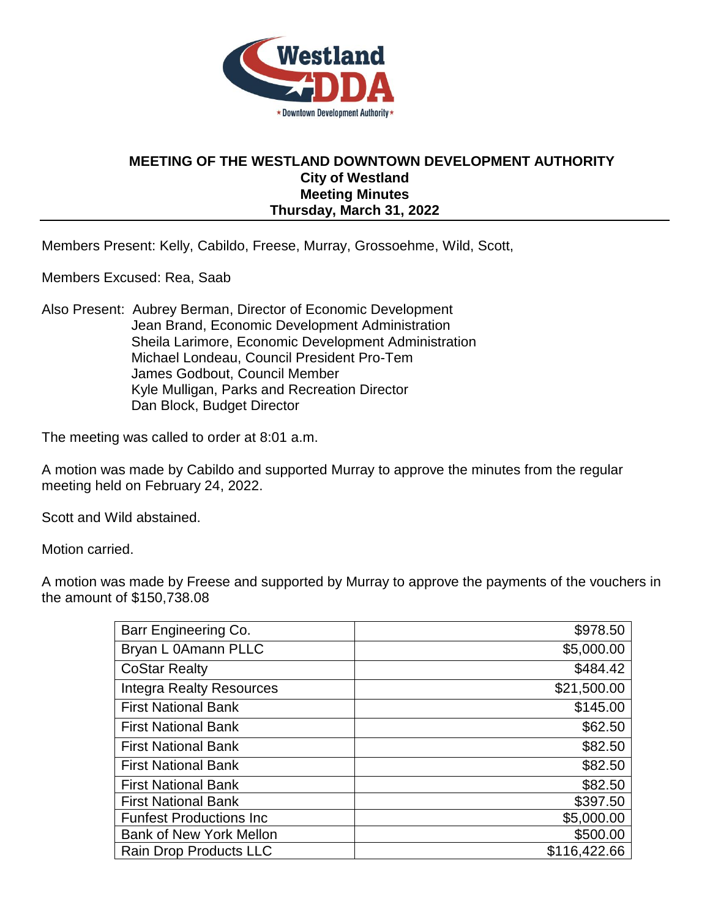

## **MEETING OF THE WESTLAND DOWNTOWN DEVELOPMENT AUTHORITY City of Westland Meeting Minutes Thursday, March 31, 2022**

Members Present: Kelly, Cabildo, Freese, Murray, Grossoehme, Wild, Scott,

Members Excused: Rea, Saab

Also Present: Aubrey Berman, Director of Economic Development Jean Brand, Economic Development Administration Sheila Larimore, Economic Development Administration Michael Londeau, Council President Pro-Tem James Godbout, Council Member Kyle Mulligan, Parks and Recreation Director Dan Block, Budget Director

The meeting was called to order at 8:01 a.m.

A motion was made by Cabildo and supported Murray to approve the minutes from the regular meeting held on February 24, 2022.

Scott and Wild abstained.

Motion carried.

A motion was made by Freese and supported by Murray to approve the payments of the vouchers in the amount of \$150,738.08

| Barr Engineering Co.            | \$978.50     |
|---------------------------------|--------------|
| Bryan L 0Amann PLLC             | \$5,000.00   |
| <b>CoStar Realty</b>            | \$484.42     |
| <b>Integra Realty Resources</b> | \$21,500.00  |
| <b>First National Bank</b>      | \$145.00     |
| <b>First National Bank</b>      | \$62.50      |
| <b>First National Bank</b>      | \$82.50      |
| <b>First National Bank</b>      | \$82.50      |
| <b>First National Bank</b>      | \$82.50      |
| <b>First National Bank</b>      | \$397.50     |
| <b>Funfest Productions Inc.</b> | \$5,000.00   |
| <b>Bank of New York Mellon</b>  | \$500.00     |
| Rain Drop Products LLC          | \$116,422.66 |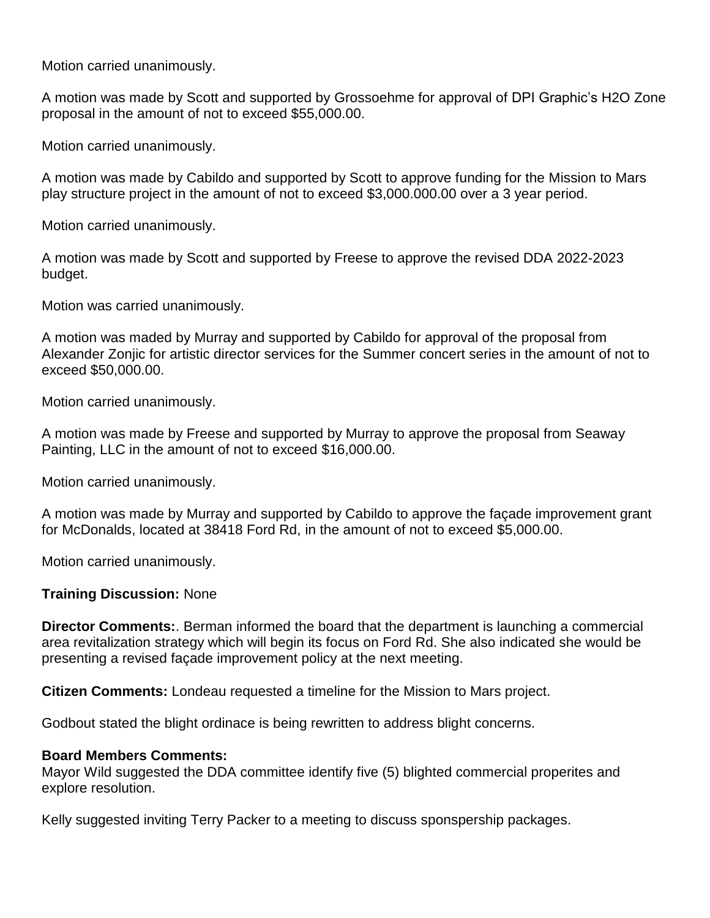Motion carried unanimously.

A motion was made by Scott and supported by Grossoehme for approval of DPI Graphic's H2O Zone proposal in the amount of not to exceed \$55,000.00.

Motion carried unanimously.

A motion was made by Cabildo and supported by Scott to approve funding for the Mission to Mars play structure project in the amount of not to exceed \$3,000.000.00 over a 3 year period.

Motion carried unanimously.

A motion was made by Scott and supported by Freese to approve the revised DDA 2022-2023 budget.

Motion was carried unanimously.

A motion was maded by Murray and supported by Cabildo for approval of the proposal from Alexander Zonjic for artistic director services for the Summer concert series in the amount of not to exceed \$50,000.00.

Motion carried unanimously.

A motion was made by Freese and supported by Murray to approve the proposal from Seaway Painting, LLC in the amount of not to exceed \$16,000.00.

Motion carried unanimously.

A motion was made by Murray and supported by Cabildo to approve the façade improvement grant for McDonalds, located at 38418 Ford Rd, in the amount of not to exceed \$5,000.00.

Motion carried unanimously.

## **Training Discussion:** None

**Director Comments:**. Berman informed the board that the department is launching a commercial area revitalization strategy which will begin its focus on Ford Rd. She also indicated she would be presenting a revised façade improvement policy at the next meeting.

**Citizen Comments:** Londeau requested a timeline for the Mission to Mars project.

Godbout stated the blight ordinace is being rewritten to address blight concerns.

## **Board Members Comments:**

Mayor Wild suggested the DDA committee identify five (5) blighted commercial properites and explore resolution.

Kelly suggested inviting Terry Packer to a meeting to discuss sponspership packages.